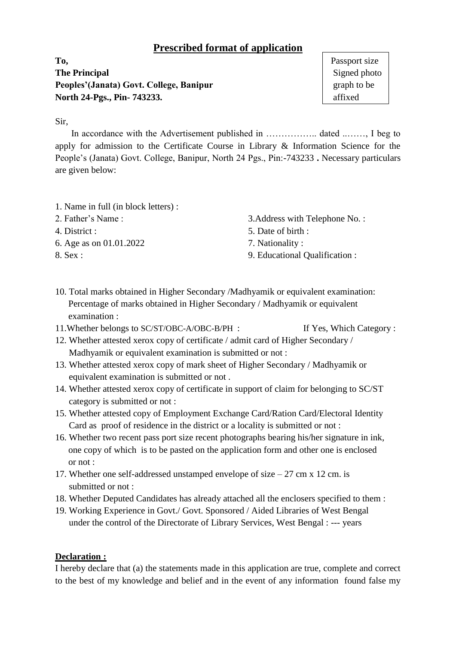## **Prescribed format of application**

**To,** Passport size **The Principal** Signed photo **Peoples'(Janata) Govt. College, Banipur** graph to be graph to be **North 24-Pgs., Pin- 743233. affixed affixed** 

Sir,

 In accordance with the Advertisement published in …………….. dated ..……, I beg to apply for admission to the Certificate Course in Library & Information Science for the People's (Janata) Govt. College, Banipur, North 24 Pgs., Pin:-743233 **.** Necessary particulars are given below:

- 1. Name in full (in block letters) :
- 
- 
- 6. Age as on 01.01.2022 7. Nationality :
- 
- 2. Father's Name : 3.Address with Telephone No. :
- 4. District : 5. Date of birth :
	-
- 8. Sex : 9. Educational Qualification :
- 10. Total marks obtained in Higher Secondary /Madhyamik or equivalent examination: Percentage of marks obtained in Higher Secondary / Madhyamik or equivalent examination :
- 11. Whether belongs to SC/ST/OBC-A/OBC-B/PH : If Yes, Which Category :
- 12. Whether attested xerox copy of certificate / admit card of Higher Secondary / Madhyamik or equivalent examination is submitted or not :
- 13. Whether attested xerox copy of mark sheet of Higher Secondary / Madhyamik or equivalent examination is submitted or not .
- 14. Whether attested xerox copy of certificate in support of claim for belonging to SC/ST category is submitted or not :
- 15. Whether attested copy of Employment Exchange Card/Ration Card/Electoral Identity Card as proof of residence in the district or a locality is submitted or not :
- 16. Whether two recent pass port size recent photographs bearing his/her signature in ink, one copy of which is to be pasted on the application form and other one is enclosed or not :
- 17. Whether one self-addressed unstamped envelope of size  $-27$  cm x 12 cm. is submitted or not :
- 18. Whether Deputed Candidates has already attached all the enclosers specified to them :
- 19. Working Experience in Govt./ Govt. Sponsored / Aided Libraries of West Bengal under the control of the Directorate of Library Services, West Bengal : --- years

## **Declaration :**

I hereby declare that (a) the statements made in this application are true, complete and correct to the best of my knowledge and belief and in the event of any information found false my